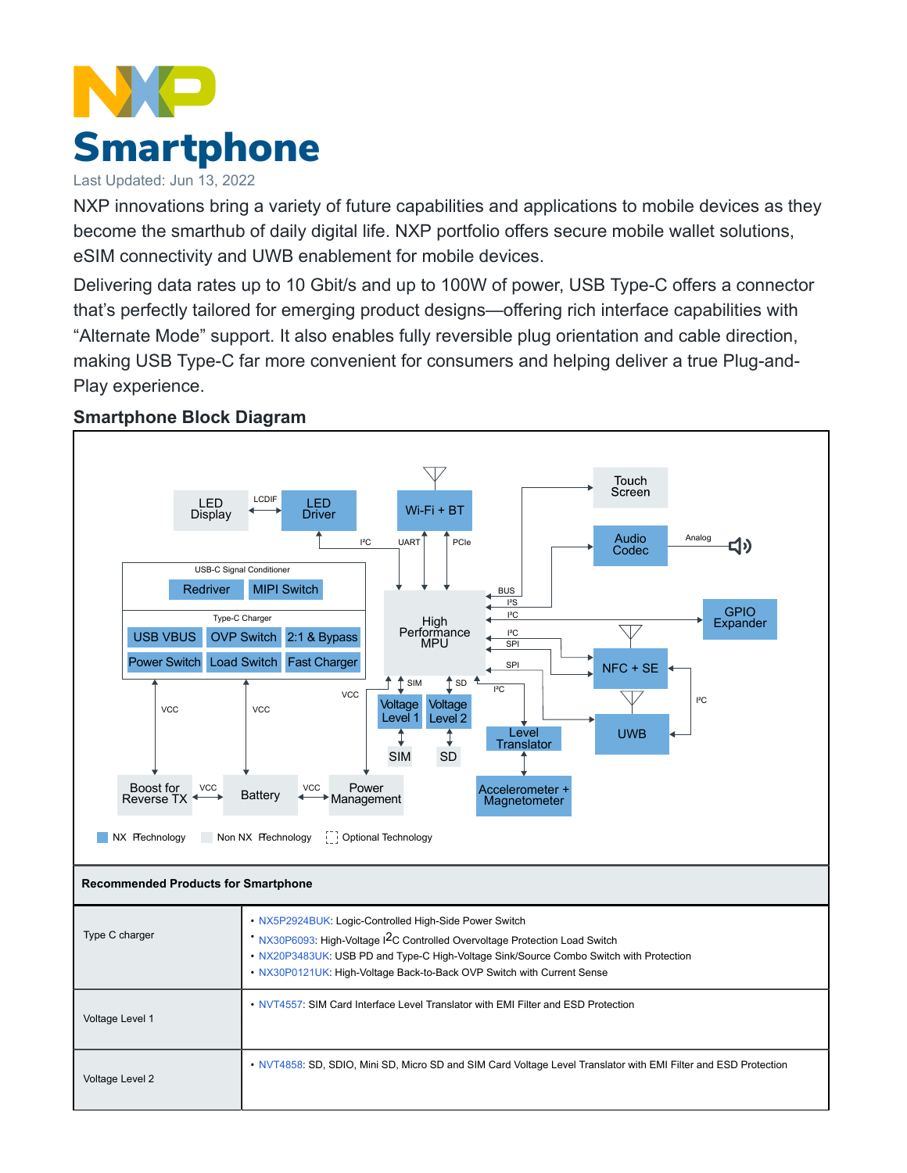## **Smartphone**

## Last Updated: Jun 13, 2022

NXP innovations bring a variety of future capabilities and applications to mobile devices as they become the smarthub of daily digital life. NXP portfolio offers secure mobile wallet solutions, eSIM connectivity and UWB enablement for mobile devices.

Delivering data rates up to 10 Gbit/s and up to 100W of power, USB Type-C offers a connector that's perfectly tailored for emerging product designs—offering rich interface capabilities with "Alternate Mode" support. It also enables fully reversible plug orientation and cable direction, making USB Type-C far more convenient for consumers and helping deliver a true Plug-and-Play experience.



## **Smartphone Block Diagram**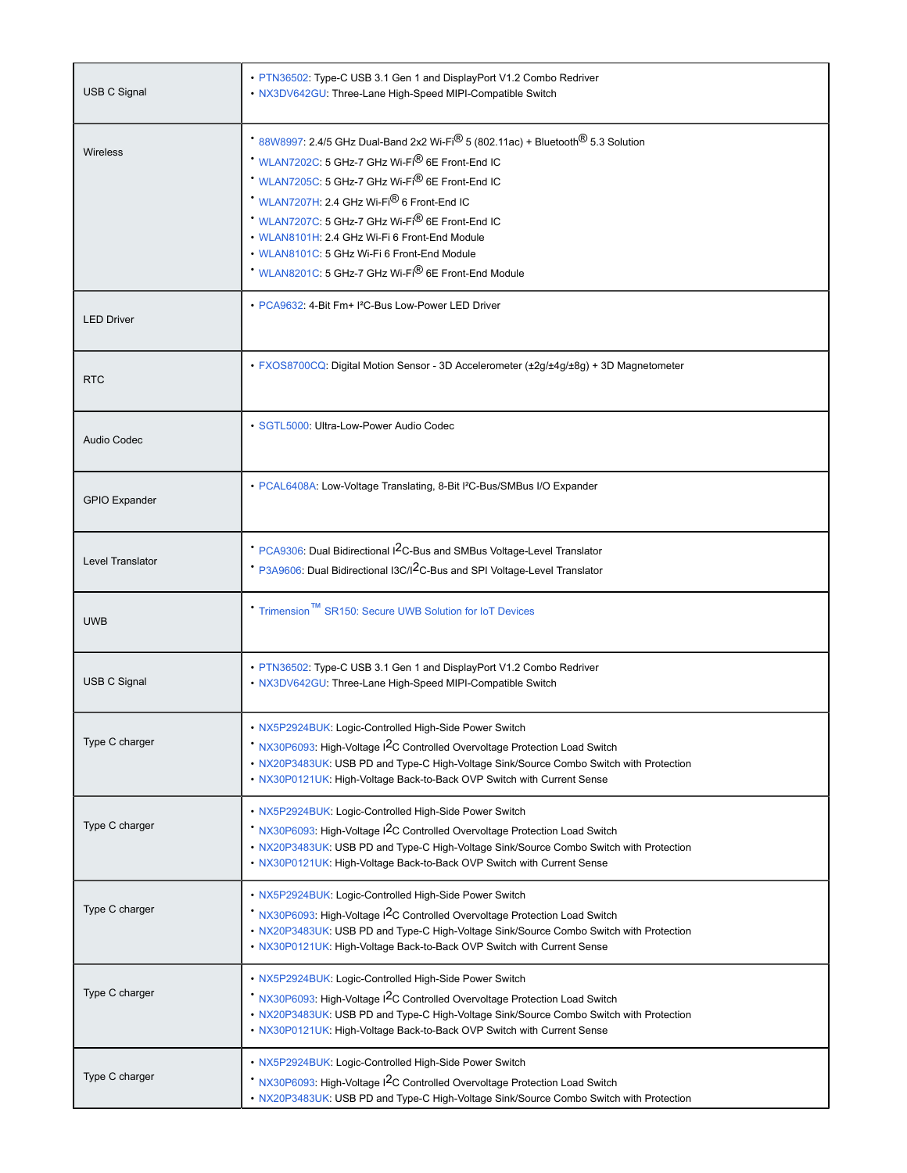| <b>USB C Signal</b>  | • PTN36502: Type-C USB 3.1 Gen 1 and DisplayPort V1.2 Combo Redriver<br>• NX3DV642GU: Three-Lane High-Speed MIPI-Compatible Switch                                                                                                                                                                                                                                                                                                                                                                             |
|----------------------|----------------------------------------------------------------------------------------------------------------------------------------------------------------------------------------------------------------------------------------------------------------------------------------------------------------------------------------------------------------------------------------------------------------------------------------------------------------------------------------------------------------|
| <b>Wireless</b>      | 88W8997: 2.4/5 GHz Dual-Band 2x2 Wi-Fi <sup>®</sup> 5 (802.11ac) + Bluetooth <sup>®</sup> 5.3 Solution<br>WLAN7202C: 5 GHz-7 GHz Wi-Fi <sup>®</sup> 6E Front-End IC<br>WLAN7205C: 5 GHz-7 GHz Wi-Fi <sup>®</sup> 6E Front-End IC<br>* WLAN7207H. 2.4 GHz Wi-Fi <sup>®</sup> 6 Front-End IC<br>* WLAN7207C: 5 GHz-7 GHz Wi-Fi® 6E Front-End IC<br>• WLAN8101H: 2.4 GHz Wi-Fi 6 Front-End Module<br>• WLAN8101C: 5 GHz Wi-Fi 6 Front-End Module<br>WLAN8201C: 5 GHz-7 GHz Wi-Fi <sup>®</sup> 6E Front-End Module |
| <b>LED Driver</b>    | • PCA9632: 4-Bit Fm+ I <sup>2</sup> C-Bus Low-Power LED Driver                                                                                                                                                                                                                                                                                                                                                                                                                                                 |
| <b>RTC</b>           | · FXOS8700CQ: Digital Motion Sensor - 3D Accelerometer (±2g/±4g/±8g) + 3D Magnetometer                                                                                                                                                                                                                                                                                                                                                                                                                         |
| <b>Audio Codec</b>   | · SGTL5000: Ultra-Low-Power Audio Codec                                                                                                                                                                                                                                                                                                                                                                                                                                                                        |
| <b>GPIO Expander</b> | • PCAL6408A: Low-Voltage Translating, 8-Bit I <sup>2</sup> C-Bus/SMBus I/O Expander                                                                                                                                                                                                                                                                                                                                                                                                                            |
| Level Translator     | PCA9306: Dual Bidirectional I <sup>2</sup> C-Bus and SMBus Voltage-Level Translator<br>* P3A9606: Dual Bidirectional I3C/I <sup>2</sup> C-Bus and SPI Voltage-Level Translator                                                                                                                                                                                                                                                                                                                                 |
| <b>UWB</b>           | * Trimension™ SR150: Secure UWB Solution for IoT Devices                                                                                                                                                                                                                                                                                                                                                                                                                                                       |
| <b>USB C Signal</b>  | • PTN36502: Type-C USB 3.1 Gen 1 and DisplayPort V1.2 Combo Redriver<br>• NX3DV642GU: Three-Lane High-Speed MIPI-Compatible Switch                                                                                                                                                                                                                                                                                                                                                                             |
| Type C charger       | NX5P2924BUK: Logic-Controlled High-Side Power Switch<br>NX30P6093: High-Voltage I <sup>2</sup> C Controlled Overvoltage Protection Load Switch<br>• NX20P3483UK: USB PD and Type-C High-Voltage Sink/Source Combo Switch with Protection<br>• NX30P0121UK: High-Voltage Back-to-Back OVP Switch with Current Sense                                                                                                                                                                                             |
| Type C charger       | • NX5P2924BUK: Logic-Controlled High-Side Power Switch<br>NX30P6093: High-Voltage I <sup>2</sup> C Controlled Overvoltage Protection Load Switch<br>. NX20P3483UK: USB PD and Type-C High-Voltage Sink/Source Combo Switch with Protection<br>. NX30P0121UK: High-Voltage Back-to-Back OVP Switch with Current Sense                                                                                                                                                                                           |
| Type C charger       | • NX5P2924BUK: Logic-Controlled High-Side Power Switch<br>NX30P6093: High-Voltage I <sup>2</sup> C Controlled Overvoltage Protection Load Switch<br>• NX20P3483UK: USB PD and Type-C High-Voltage Sink/Source Combo Switch with Protection<br>. NX30P0121UK: High-Voltage Back-to-Back OVP Switch with Current Sense                                                                                                                                                                                           |
| Type C charger       | • NX5P2924BUK: Logic-Controlled High-Side Power Switch<br>* NX30P6093: High-Voltage I2C Controlled Overvoltage Protection Load Switch<br>. NX20P3483UK: USB PD and Type-C High-Voltage Sink/Source Combo Switch with Protection<br>. NX30P0121UK: High-Voltage Back-to-Back OVP Switch with Current Sense                                                                                                                                                                                                      |
| Type C charger       | • NX5P2924BUK: Logic-Controlled High-Side Power Switch<br>NX30P6093: High-Voltage I <sup>2</sup> C Controlled Overvoltage Protection Load Switch<br>• NX20P3483UK: USB PD and Type-C High-Voltage Sink/Source Combo Switch with Protection                                                                                                                                                                                                                                                                     |